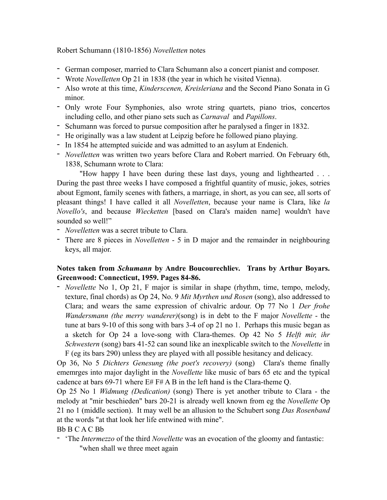Robert Schumann (1810-1856) *Novelletten* notes

- German composer, married to Clara Schumann also a concert pianist and composer.
- Wrote *Novelletten* Op 21 in 1838 (the year in which he visited Vienna).
- Also wrote at this time, *Kinderscenen, Kreisleriana* and the Second Piano Sonata in G minor.
- Only wrote Four Symphonies, also wrote string quartets, piano trios, concertos including cello, and other piano sets such as *Carnaval* and *Papillons*.
- Schumann was forced to pursue composition after he paralysed a finger in 1832.
- He originally was a law student at Leipzig before he followed piano playing.
- In 1854 he attempted suicide and was admitted to an asylum at Endenich.
- *Novelletten* was written two years before Clara and Robert married. On February 6th, 1838, Schumann wrote to Clara:

 "How happy I have been during these last days, young and lighthearted . . . During the past three weeks I have composed a frightful quantity of music, jokes, sotries about Egmont, family scenes with fathers, a marriage, in short, as you can see, all sorts of pleasant things! I have called it all *Novelletten*, because your name is Clara, like *la Novello's*, and because *Wiecketten* [based on Clara's maiden name] wouldn't have sounded so well!"

- *Novelletten* was a secret tribute to Clara.
- There are 8 pieces in *Novelletten*  5 in D major and the remainder in neighbouring keys, all major.

## **Notes taken from** *Schumann* **by Andre Boucourechliev. Trans by Arthur Boyars. Greenwood: Connecticut, 1959. Pages 84-86.**

- *Novellette* No 1, Op 21, F major is similar in shape (rhythm, time, tempo, melody, texture, final chords) as Op 24, No. 9 *Mit Myrthen und Rosen* (song), also addressed to Clara; and wears the same expression of chivalric ardour. Op 77 No 1 *Der frohe Wandersmann (the merry wanderer)*(song) is in debt to the F major *Novellette* - the tune at bars 9-10 of this song with bars 3-4 of op 21 no 1. Perhaps this music began as a sketch for Op 24 a love-song with Clara-themes. Op 42 No 5 *Helft mir, ihr Schwestern* (song) bars 41-52 can sound like an inexplicable switch to the *Novellette* in F (eg its bars 290) unless they are played with all possible hesitancy and delicacy.

Op 36, No 5 *Dichters Genesung (the poet's recovery)* (song) Clara's theme finally ememrges into major daylight in the *Novellette* like music of bars 65 etc and the typical cadence at bars 69-71 where E# F# A B in the left hand is the Clara-theme Q.

Op 25 No 1 *Widmung (Dedication)* (song) There is yet another tribute to Clara - the melody at "mir beschieden" bars 20-21 is already well known from eg the *Novellette* Op 21 no 1 (middle section). It may well be an allusion to the Schubert song *Das Rosenband* at the words "at that look her life entwined with mine".

## Bb B C A C Bb

- 'The *Intermezzo* of the third *Novellette* was an evocation of the gloomy and fantastic: "when shall we three meet again